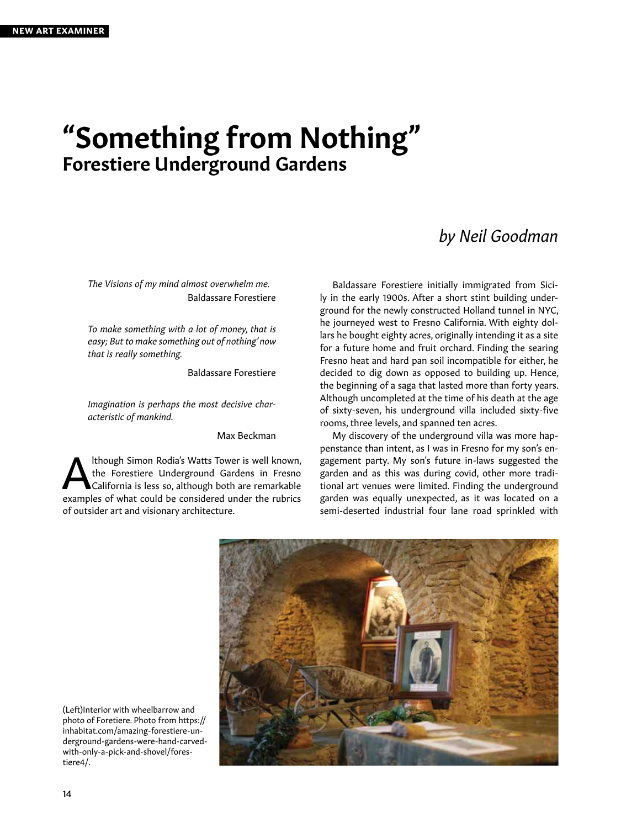## "Something from Nothing" Forestiere Underground Gardens

## *by Neil Goodman*

*The Visions of my mind almost overwhelm me.*  Baldassare Forestiere

*To make something with a lot of money, that is easy; But to make something out of nothing' now that is really something.*

Baldassare Forestiere

*Imagination is perhaps the most decisive characteristic of mankind.*

Max Beckman

**Although Simon Rodia's Watts Tower is well known,**<br>the Forestiere Underground Gardens in Fresno<br>California is less so, although both are remarkable<br>avamples of what sould be considered under the wheirs the Forestiere Underground Gardens in Fresno California is less so, although both are remarkable examples of what could be considered under the rubrics of outsider art and visionary architecture.

Baldassare Forestiere initially immigrated from Sicily in the early 1900s. After a short stint building underground for the newly constructed Holland tunnel in NYC, he journeyed west to Fresno California. With eighty dollars he bought eighty acres, originally intending it as a site for a future home and fruit orchard. Finding the searing Fresno heat and hard pan soil incompatible for either, he decided to dig down as opposed to building up. Hence, the beginning of a saga that lasted more than forty years. Although uncompleted at the time of his death at the age of sixty-seven, his underground villa included sixty-five rooms, three levels, and spanned ten acres.

My discovery of the underground villa was more happenstance than intent, as I was in Fresno for my son's engagement party. My son's future in-laws suggested the garden and as this was during covid, other more traditional art venues were limited. Finding the underground garden was equally unexpected, as it was located on a semi-deserted industrial four lane road sprinkled with



(Left)Interior with wheelbarrow and photo of Foretiere. Photo from https:// inhabitat.com/amazing-forestiere-underground-gardens-were-hand-carvedwith-only-a-pick-and-shovel/forestiere4/.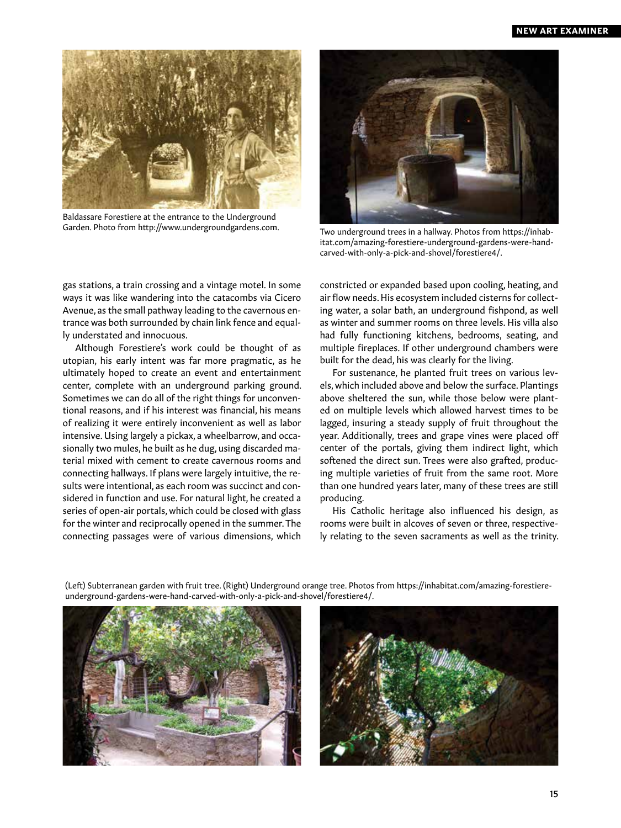

Baldassare Forestiere at the entrance to the Underground Garden. Photo from http://www.undergroundgardens.com.



Two underground trees in a hallway. Photos from https://inhabitat.com/amazing-forestiere-underground-gardens-were-handcarved-with-only-a-pick-and-shovel/forestiere4/.

gas stations, a train crossing and a vintage motel. In some ways it was like wandering into the catacombs via Cicero Avenue, as the small pathway leading to the cavernous entrance was both surrounded by chain link fence and equally understated and innocuous.

Although Forestiere's work could be thought of as utopian, his early intent was far more pragmatic, as he ultimately hoped to create an event and entertainment center, complete with an underground parking ground. Sometimes we can do all of the right things for unconventional reasons, and if his interest was financial, his means of realizing it were entirely inconvenient as well as labor intensive. Using largely a pickax, a wheelbarrow, and occasionally two mules, he built as he dug, using discarded material mixed with cement to create cavernous rooms and connecting hallways. If plans were largely intuitive, the results were intentional, as each room was succinct and considered in function and use. For natural light, he created a series of open-air portals, which could be closed with glass for the winter and reciprocally opened in the summer. The connecting passages were of various dimensions, which constricted or expanded based upon cooling, heating, and air flow needs. His ecosystem included cisterns for collecting water, a solar bath, an underground fishpond, as well as winter and summer rooms on three levels. His villa also had fully functioning kitchens, bedrooms, seating, and multiple fireplaces. If other underground chambers were built for the dead, his was clearly for the living.

For sustenance, he planted fruit trees on various levels, which included above and below the surface. Plantings above sheltered the sun, while those below were planted on multiple levels which allowed harvest times to be lagged, insuring a steady supply of fruit throughout the year. Additionally, trees and grape vines were placed off center of the portals, giving them indirect light, which softened the direct sun. Trees were also grafted, producing multiple varieties of fruit from the same root. More than one hundred years later, many of these trees are still producing.

His Catholic heritage also influenced his design, as rooms were built in alcoves of seven or three, respectively relating to the seven sacraments as well as the trinity.

(Left) Subterranean garden with fruit tree. (Right) Underground orange tree. Photos from https://inhabitat.com/amazing-forestiereunderground-gardens-were-hand-carved-with-only-a-pick-and-shovel/forestiere4/.